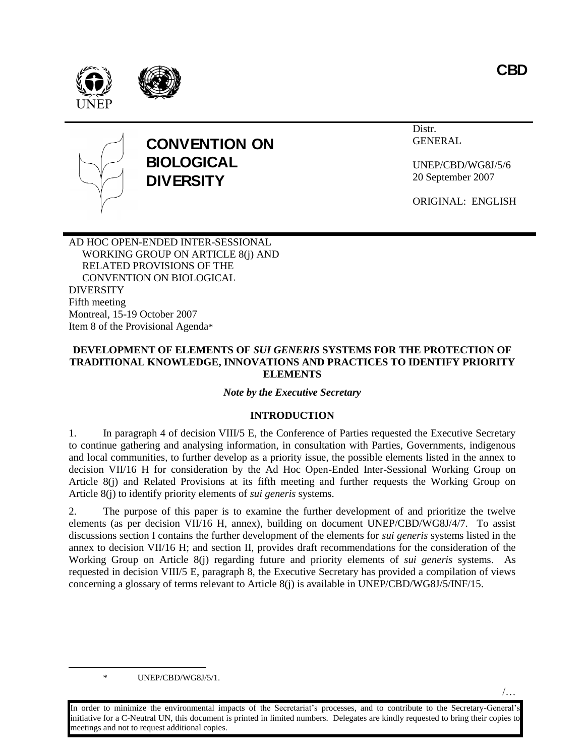**CBD**

/…







# **CONVENTION ON BIOLOGICAL DIVERSITY**

Distr. GENERAL

UNEP/CBD/WG8J/5/6 20 September 2007

ORIGINAL: ENGLISH

AD HOC OPEN-ENDED INTER-SESSIONAL WORKING GROUP ON ARTICLE 8(j) AND RELATED PROVISIONS OF THE CONVENTION ON BIOLOGICAL DIVERSITY Fifth meeting Montreal, 15-19 October 2007 Item 8 of the Provisional Agenda\*

#### **DEVELOPMENT OF ELEMENTS OF** *SUI GENERIS* **SYSTEMS FOR THE PROTECTION OF TRADITIONAL KNOWLEDGE, INNOVATIONS AND PRACTICES TO IDENTIFY PRIORITY ELEMENTS**

#### *Note by the Executive Secretary*

# **INTRODUCTION**

1. In paragraph 4 of decision VIII/5 E, the Conference of Parties requested the Executive Secretary to continue gathering and analysing information, in consultation with Parties, Governments, indigenous and local communities, to further develop as a priority issue, the possible elements listed in the annex to decision VII/16 H for consideration by the Ad Hoc Open-Ended Inter-Sessional Working Group on Article 8(j) and Related Provisions at its fifth meeting and further requests the Working Group on Article 8(j) to identify priority elements of *sui generis* systems.

2. The purpose of this paper is to examine the further development of and prioritize the twelve elements (as per decision VII/16 H, annex), building on document UNEP/CBD/WG8J/4/7. To assist discussions section I contains the further development of the elements for *sui generis* systems listed in the annex to decision VII/16 H; and section II, provides draft recommendations for the consideration of the Working Group on Article 8(j) regarding future and priority elements of *sui generis* systems. As requested in decision VIII/5 E, paragraph 8, the Executive Secretary has provided a compilation of views concerning a glossary of terms relevant to Article 8(j) is available in UNEP/CBD/WG8J/5/INF/15.

\* UNEP/CBD/WG8J/5/1.

 $\overline{a}$ 

In order to minimize the environmental impacts of the Secretariat's processes, and to contribute to the Secretary-General's initiative for a C-Neutral UN, this document is printed in limited numbers. Delegates are kindly requested to bring their copies to meetings and not to request additional copies.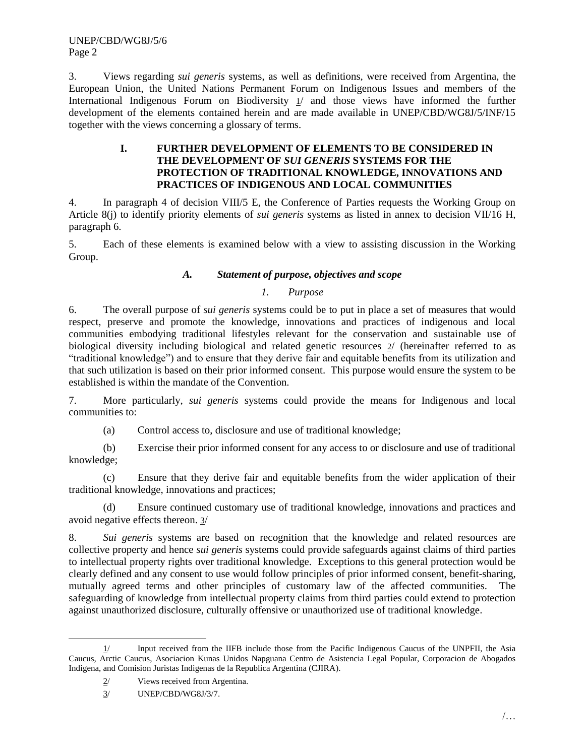3. Views regarding *sui generis* systems, as well as definitions, were received from Argentina, the European Union, the United Nations Permanent Forum on Indigenous Issues and members of the International Indigenous Forum on Biodiversity 1/ and those views have informed the further development of the elements contained herein and are made available in UNEP/CBD/WG8J/5/INF/15 together with the views concerning a glossary of terms.

#### **I. FURTHER DEVELOPMENT OF ELEMENTS TO BE CONSIDERED IN THE DEVELOPMENT OF** *SUI GENERIS* **SYSTEMS FOR THE PROTECTION OF TRADITIONAL KNOWLEDGE, INNOVATIONS AND PRACTICES OF INDIGENOUS AND LOCAL COMMUNITIES**

4. In paragraph 4 of decision VIII/5 E, the Conference of Parties requests the Working Group on Article 8(j) to identify priority elements of *sui generis* systems as listed in annex to decision VII/16 H, paragraph 6.

5. Each of these elements is examined below with a view to assisting discussion in the Working Group.

# *A. Statement of purpose, objectives and scope*

# *1. Purpose*

6. The overall purpose of *sui generis* systems could be to put in place a set of measures that would respect, preserve and promote the knowledge, innovations and practices of indigenous and local communities embodying traditional lifestyles relevant for the conservation and sustainable use of biological diversity including biological and related genetic resources  $2/$  (hereinafter referred to as "traditional knowledge") and to ensure that they derive fair and equitable benefits from its utilization and that such utilization is based on their prior informed consent. This purpose would ensure the system to be established is within the mandate of the Convention.

7. More particularly, *sui generis* systems could provide the means for Indigenous and local communities to:

(a) Control access to, disclosure and use of traditional knowledge;

(b) Exercise their prior informed consent for any access to or disclosure and use of traditional knowledge;

(c) Ensure that they derive fair and equitable benefits from the wider application of their traditional knowledge, innovations and practices;

(d) Ensure continued customary use of traditional knowledge, innovations and practices and avoid negative effects thereon. 3/

8. *Sui generis* systems are based on recognition that the knowledge and related resources are collective property and hence *sui generis* systems could provide safeguards against claims of third parties to intellectual property rights over traditional knowledge. Exceptions to this general protection would be clearly defined and any consent to use would follow principles of prior informed consent, benefit-sharing, mutually agreed terms and other principles of customary law of the affected communities. The safeguarding of knowledge from intellectual property claims from third parties could extend to protection against unauthorized disclosure, culturally offensive or unauthorized use of traditional knowledge.

l 1/ Input received from the IIFB include those from the Pacific Indigenous Caucus of the UNPFII, the Asia Caucus, Arctic Caucus, Asociacion Kunas Unidos Napguana Centro de Asistencia Legal Popular, Corporacion de Abogados Indigena, and Comision Juristas Indigenas de la Republica Argentina (CJIRA).

<sup>2/</sup> Views received from Argentina.

<sup>3/</sup> UNEP/CBD/WG8J/3/7.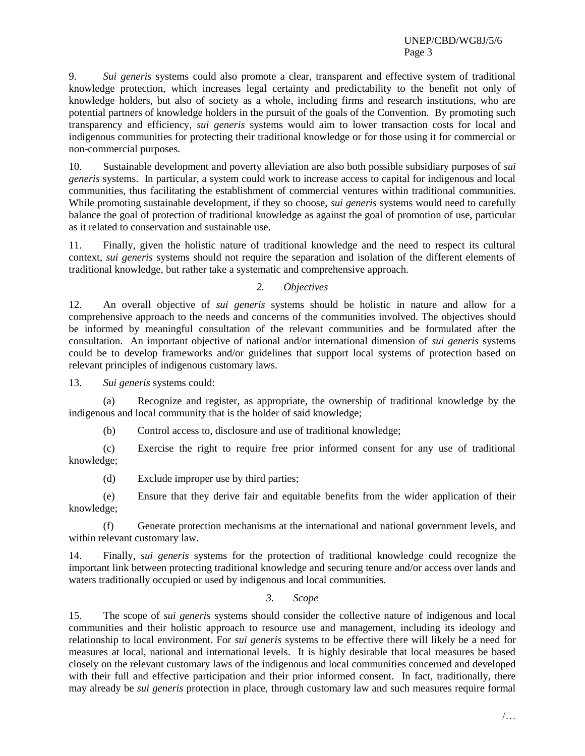9. *Sui generis* systems could also promote a clear, transparent and effective system of traditional knowledge protection, which increases legal certainty and predictability to the benefit not only of knowledge holders, but also of society as a whole, including firms and research institutions, who are potential partners of knowledge holders in the pursuit of the goals of the Convention. By promoting such transparency and efficiency, *sui generis* systems would aim to lower transaction costs for local and indigenous communities for protecting their traditional knowledge or for those using it for commercial or non-commercial purposes.

10. Sustainable development and poverty alleviation are also both possible subsidiary purposes of *sui generis* systems. In particular, a system could work to increase access to capital for indigenous and local communities, thus facilitating the establishment of commercial ventures within traditional communities. While promoting sustainable development, if they so choose, *sui generis* systems would need to carefully balance the goal of protection of traditional knowledge as against the goal of promotion of use, particular as it related to conservation and sustainable use.

11. Finally, given the holistic nature of traditional knowledge and the need to respect its cultural context, *sui generis* systems should not require the separation and isolation of the different elements of traditional knowledge, but rather take a systematic and comprehensive approach.

### *2. Objectives*

12. An overall objective of *sui generis* systems should be holistic in nature and allow for a comprehensive approach to the needs and concerns of the communities involved. The objectives should be informed by meaningful consultation of the relevant communities and be formulated after the consultation. An important objective of national and/or international dimension of *sui generis* systems could be to develop frameworks and/or guidelines that support local systems of protection based on relevant principles of indigenous customary laws.

13. *Sui generis* systems could:

(a) Recognize and register, as appropriate, the ownership of traditional knowledge by the indigenous and local community that is the holder of said knowledge;

(b) Control access to, disclosure and use of traditional knowledge;

(c) Exercise the right to require free prior informed consent for any use of traditional knowledge;

(d) Exclude improper use by third parties;

(e) Ensure that they derive fair and equitable benefits from the wider application of their knowledge;

(f) Generate protection mechanisms at the international and national government levels, and within relevant customary law.

14. Finally, *sui generis* systems for the protection of traditional knowledge could recognize the important link between protecting traditional knowledge and securing tenure and/or access over lands and waters traditionally occupied or used by indigenous and local communities.

*3. Scope*

15. The scope of *sui generis* systems should consider the collective nature of indigenous and local communities and their holistic approach to resource use and management, including its ideology and relationship to local environment. For *sui generis* systems to be effective there will likely be a need for measures at local, national and international levels. It is highly desirable that local measures be based closely on the relevant customary laws of the indigenous and local communities concerned and developed with their full and effective participation and their prior informed consent. In fact, traditionally, there may already be *sui generis* protection in place, through customary law and such measures require formal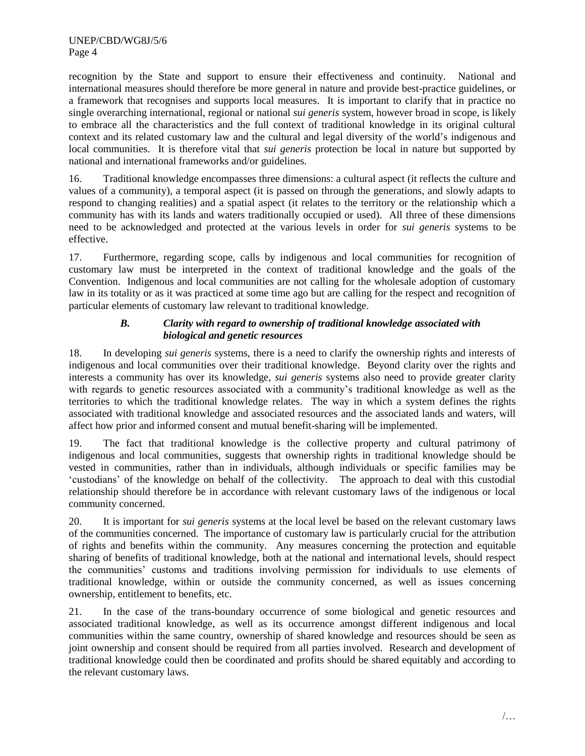recognition by the State and support to ensure their effectiveness and continuity. National and international measures should therefore be more general in nature and provide best-practice guidelines, or a framework that recognises and supports local measures. It is important to clarify that in practice no single overarching international, regional or national *sui generis* system, however broad in scope, is likely to embrace all the characteristics and the full context of traditional knowledge in its original cultural context and its related customary law and the cultural and legal diversity of the world"s indigenous and local communities. It is therefore vital that *sui generis* protection be local in nature but supported by national and international frameworks and/or guidelines.

16. Traditional knowledge encompasses three dimensions: a cultural aspect (it reflects the culture and values of a community), a temporal aspect (it is passed on through the generations, and slowly adapts to respond to changing realities) and a spatial aspect (it relates to the territory or the relationship which a community has with its lands and waters traditionally occupied or used). All three of these dimensions need to be acknowledged and protected at the various levels in order for *sui generis* systems to be effective.

17. Furthermore, regarding scope, calls by indigenous and local communities for recognition of customary law must be interpreted in the context of traditional knowledge and the goals of the Convention. Indigenous and local communities are not calling for the wholesale adoption of customary law in its totality or as it was practiced at some time ago but are calling for the respect and recognition of particular elements of customary law relevant to traditional knowledge.

# *B. Clarity with regard to ownership of traditional knowledge associated with biological and genetic resources*

18. In developing *sui generis* systems, there is a need to clarify the ownership rights and interests of indigenous and local communities over their traditional knowledge. Beyond clarity over the rights and interests a community has over its knowledge, *sui generis* systems also need to provide greater clarity with regards to genetic resources associated with a community's traditional knowledge as well as the territories to which the traditional knowledge relates. The way in which a system defines the rights associated with traditional knowledge and associated resources and the associated lands and waters, will affect how prior and informed consent and mutual benefit-sharing will be implemented.

19. The fact that traditional knowledge is the collective property and cultural patrimony of indigenous and local communities, suggests that ownership rights in traditional knowledge should be vested in communities, rather than in individuals, although individuals or specific families may be "custodians" of the knowledge on behalf of the collectivity. The approach to deal with this custodial relationship should therefore be in accordance with relevant customary laws of the indigenous or local community concerned.

20. It is important for *sui generis* systems at the local level be based on the relevant customary laws of the communities concerned. The importance of customary law is particularly crucial for the attribution of rights and benefits within the community. Any measures concerning the protection and equitable sharing of benefits of traditional knowledge, both at the national and international levels, should respect the communities' customs and traditions involving permission for individuals to use elements of traditional knowledge, within or outside the community concerned, as well as issues concerning ownership, entitlement to benefits, etc.

21. In the case of the trans-boundary occurrence of some biological and genetic resources and associated traditional knowledge, as well as its occurrence amongst different indigenous and local communities within the same country, ownership of shared knowledge and resources should be seen as joint ownership and consent should be required from all parties involved. Research and development of traditional knowledge could then be coordinated and profits should be shared equitably and according to the relevant customary laws.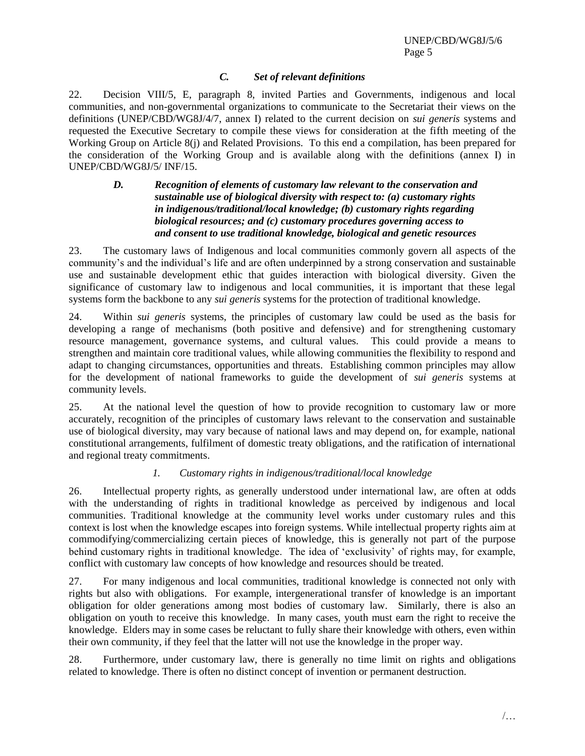# *C. Set of relevant definitions*

22. Decision VIII/5, E, paragraph 8, invited Parties and Governments, indigenous and local communities, and non-governmental organizations to communicate to the Secretariat their views on the definitions (UNEP/CBD/WG8J/4/7, annex I) related to the current decision on *sui generis* systems and requested the Executive Secretary to compile these views for consideration at the fifth meeting of the Working Group on Article 8(j) and Related Provisions. To this end a compilation, has been prepared for the consideration of the Working Group and is available along with the definitions (annex I) in UNEP/CBD/WG8J/5/ INF/15.

#### *D. Recognition of elements of customary law relevant to the conservation and sustainable use of biological diversity with respect to: (a) customary rights in indigenous/traditional/local knowledge; (b) customary rights regarding biological resources; and (c) customary procedures governing access to and consent to use traditional knowledge, biological and genetic resources*

23. The customary laws of Indigenous and local communities commonly govern all aspects of the community's and the individual's life and are often underpinned by a strong conservation and sustainable use and sustainable development ethic that guides interaction with biological diversity. Given the significance of customary law to indigenous and local communities, it is important that these legal systems form the backbone to any *sui generis* systems for the protection of traditional knowledge.

24. Within *sui generis* systems, the principles of customary law could be used as the basis for developing a range of mechanisms (both positive and defensive) and for strengthening customary resource management, governance systems, and cultural values. This could provide a means to strengthen and maintain core traditional values, while allowing communities the flexibility to respond and adapt to changing circumstances, opportunities and threats. Establishing common principles may allow for the development of national frameworks to guide the development of *sui generis* systems at community levels.

25. At the national level the question of how to provide recognition to customary law or more accurately, recognition of the principles of customary laws relevant to the conservation and sustainable use of biological diversity, may vary because of national laws and may depend on, for example, national constitutional arrangements, fulfilment of domestic treaty obligations, and the ratification of international and regional treaty commitments.

# *1. Customary rights in indigenous/traditional/local knowledge*

26. Intellectual property rights, as generally understood under international law, are often at odds with the understanding of rights in traditional knowledge as perceived by indigenous and local communities. Traditional knowledge at the community level works under customary rules and this context is lost when the knowledge escapes into foreign systems. While intellectual property rights aim at commodifying/commercializing certain pieces of knowledge, this is generally not part of the purpose behind customary rights in traditional knowledge. The idea of "exclusivity" of rights may, for example, conflict with customary law concepts of how knowledge and resources should be treated.

27. For many indigenous and local communities, traditional knowledge is connected not only with rights but also with obligations. For example, intergenerational transfer of knowledge is an important obligation for older generations among most bodies of customary law. Similarly, there is also an obligation on youth to receive this knowledge. In many cases, youth must earn the right to receive the knowledge. Elders may in some cases be reluctant to fully share their knowledge with others, even within their own community, if they feel that the latter will not use the knowledge in the proper way.

28. Furthermore, under customary law, there is generally no time limit on rights and obligations related to knowledge. There is often no distinct concept of invention or permanent destruction.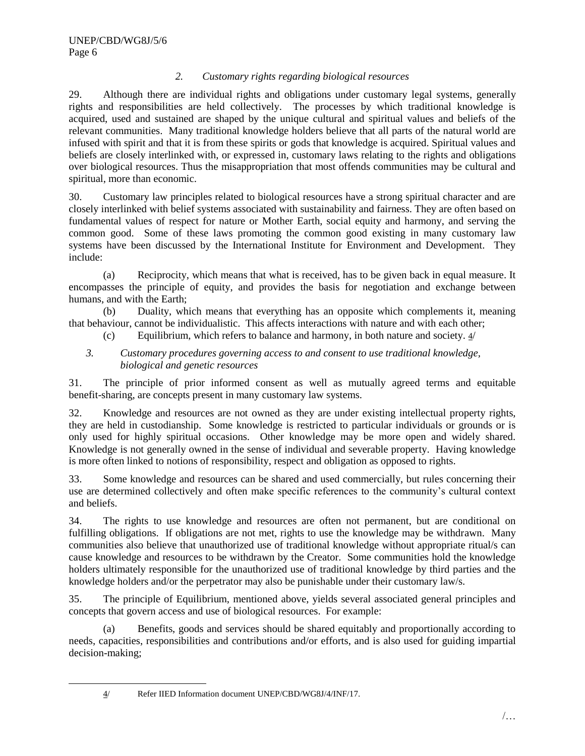# *2. Customary rights regarding biological resources*

29. Although there are individual rights and obligations under customary legal systems, generally rights and responsibilities are held collectively. The processes by which traditional knowledge is acquired, used and sustained are shaped by the unique cultural and spiritual values and beliefs of the relevant communities. Many traditional knowledge holders believe that all parts of the natural world are infused with spirit and that it is from these spirits or gods that knowledge is acquired. Spiritual values and beliefs are closely interlinked with, or expressed in, customary laws relating to the rights and obligations over biological resources. Thus the misappropriation that most offends communities may be cultural and spiritual, more than economic.

30. Customary law principles related to biological resources have a strong spiritual character and are closely interlinked with belief systems associated with sustainability and fairness. They are often based on fundamental values of respect for nature or Mother Earth, social equity and harmony, and serving the common good. Some of these laws promoting the common good existing in many customary law systems have been discussed by the International Institute for Environment and Development. They include:

(a) Reciprocity, which means that what is received, has to be given back in equal measure. It encompasses the principle of equity, and provides the basis for negotiation and exchange between humans, and with the Earth;

(b) Duality, which means that everything has an opposite which complements it, meaning that behaviour, cannot be individualistic. This affects interactions with nature and with each other;

- (c) Equilibrium, which refers to balance and harmony, in both nature and society. 4/
- *3. Customary procedures governing access to and consent to use traditional knowledge, biological and genetic resources*

31. The principle of prior informed consent as well as mutually agreed terms and equitable benefit-sharing, are concepts present in many customary law systems.

32. Knowledge and resources are not owned as they are under existing intellectual property rights, they are held in custodianship. Some knowledge is restricted to particular individuals or grounds or is only used for highly spiritual occasions. Other knowledge may be more open and widely shared. Knowledge is not generally owned in the sense of individual and severable property. Having knowledge is more often linked to notions of responsibility, respect and obligation as opposed to rights.

33. Some knowledge and resources can be shared and used commercially, but rules concerning their use are determined collectively and often make specific references to the community"s cultural context and beliefs.

34. The rights to use knowledge and resources are often not permanent, but are conditional on fulfilling obligations. If obligations are not met, rights to use the knowledge may be withdrawn. Many communities also believe that unauthorized use of traditional knowledge without appropriate ritual/s can cause knowledge and resources to be withdrawn by the Creator. Some communities hold the knowledge holders ultimately responsible for the unauthorized use of traditional knowledge by third parties and the knowledge holders and/or the perpetrator may also be punishable under their customary law/s.

35. The principle of Equilibrium, mentioned above, yields several associated general principles and concepts that govern access and use of biological resources. For example:

(a) Benefits, goods and services should be shared equitably and proportionally according to needs, capacities, responsibilities and contributions and/or efforts, and is also used for guiding impartial decision-making;

 $\overline{a}$ 

<sup>4/</sup> Refer IIED Information document UNEP/CBD/WG8J/4/INF/17.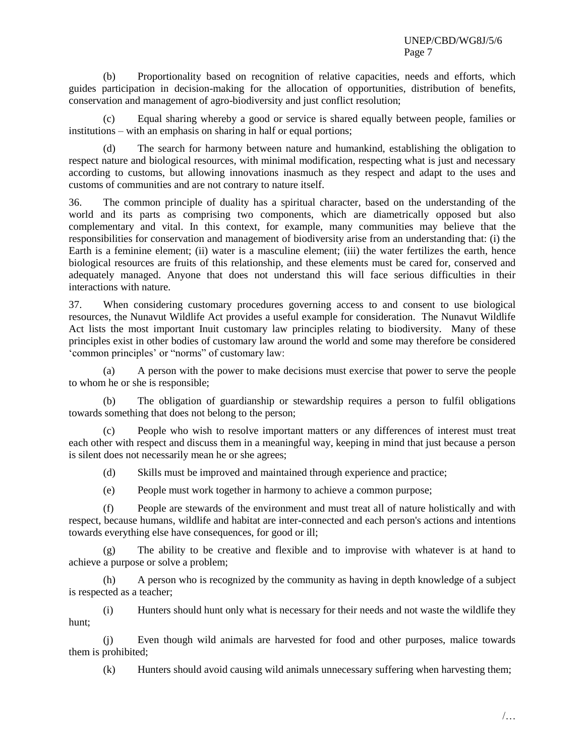(b) Proportionality based on recognition of relative capacities, needs and efforts, which guides participation in decision-making for the allocation of opportunities, distribution of benefits, conservation and management of agro-biodiversity and just conflict resolution;

Equal sharing whereby a good or service is shared equally between people, families or institutions – with an emphasis on sharing in half or equal portions;

(d) The search for harmony between nature and humankind, establishing the obligation to respect nature and biological resources, with minimal modification, respecting what is just and necessary according to customs, but allowing innovations inasmuch as they respect and adapt to the uses and customs of communities and are not contrary to nature itself.

36. The common principle of duality has a spiritual character, based on the understanding of the world and its parts as comprising two components, which are diametrically opposed but also complementary and vital. In this context, for example, many communities may believe that the responsibilities for conservation and management of biodiversity arise from an understanding that: (i) the Earth is a feminine element; (ii) water is a masculine element; (iii) the water fertilizes the earth, hence biological resources are fruits of this relationship, and these elements must be cared for, conserved and adequately managed. Anyone that does not understand this will face serious difficulties in their interactions with nature.

37. When considering customary procedures governing access to and consent to use biological resources, the Nunavut Wildlife Act provides a useful example for consideration. The Nunavut Wildlife Act lists the most important Inuit customary law principles relating to biodiversity. Many of these principles exist in other bodies of customary law around the world and some may therefore be considered "common principles" or "norms" of customary law:

(a) A person with the power to make decisions must exercise that power to serve the people to whom he or she is responsible;

(b) The obligation of guardianship or stewardship requires a person to fulfil obligations towards something that does not belong to the person;

(c) People who wish to resolve important matters or any differences of interest must treat each other with respect and discuss them in a meaningful way, keeping in mind that just because a person is silent does not necessarily mean he or she agrees;

(d) Skills must be improved and maintained through experience and practice;

(e) People must work together in harmony to achieve a common purpose;

(f) People are stewards of the environment and must treat all of nature holistically and with respect, because humans, wildlife and habitat are inter-connected and each person's actions and intentions towards everything else have consequences, for good or ill;

(g) The ability to be creative and flexible and to improvise with whatever is at hand to achieve a purpose or solve a problem;

(h) A person who is recognized by the community as having in depth knowledge of a subject is respected as a teacher;

(i) Hunters should hunt only what is necessary for their needs and not waste the wildlife they hunt;

(j) Even though wild animals are harvested for food and other purposes, malice towards them is prohibited;

(k) Hunters should avoid causing wild animals unnecessary suffering when harvesting them;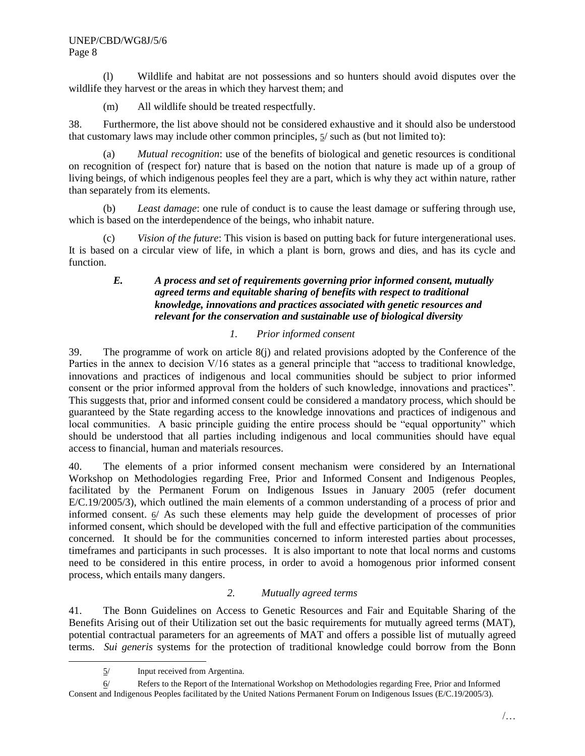(l) Wildlife and habitat are not possessions and so hunters should avoid disputes over the wildlife they harvest or the areas in which they harvest them; and

(m) All wildlife should be treated respectfully.

38. Furthermore, the list above should not be considered exhaustive and it should also be understood that customary laws may include other common principles, 5/ such as (but not limited to):

(a) *Mutual recognition*: use of the benefits of biological and genetic resources is conditional on recognition of (respect for) nature that is based on the notion that nature is made up of a group of living beings, of which indigenous peoples feel they are a part, which is why they act within nature, rather than separately from its elements.

(b) *Least damage*: one rule of conduct is to cause the least damage or suffering through use, which is based on the interdependence of the beings, who inhabit nature.

(c) *Vision of the future*: This vision is based on putting back for future intergenerational uses. It is based on a circular view of life, in which a plant is born, grows and dies, and has its cycle and function.

### *E. A process and set of requirements governing prior informed consent, mutually agreed terms and equitable sharing of benefits with respect to traditional knowledge, innovations and practices associated with genetic resources and relevant for the conservation and sustainable use of biological diversity*

# *1. Prior informed consent*

39. The programme of work on article 8(j) and related provisions adopted by the Conference of the Parties in the annex to decision V/16 states as a general principle that "access to traditional knowledge, innovations and practices of indigenous and local communities should be subject to prior informed consent or the prior informed approval from the holders of such knowledge, innovations and practices". This suggests that, prior and informed consent could be considered a mandatory process, which should be guaranteed by the State regarding access to the knowledge innovations and practices of indigenous and local communities. A basic principle guiding the entire process should be "equal opportunity" which should be understood that all parties including indigenous and local communities should have equal access to financial, human and materials resources.

40. The elements of a prior informed consent mechanism were considered by an International Workshop on Methodologies regarding Free, Prior and Informed Consent and Indigenous Peoples, facilitated by the Permanent Forum on Indigenous Issues in January 2005 (refer document E/C.19/2005/3), which outlined the main elements of a common understanding of a process of prior and informed consent.  $6/$  As such these elements may help guide the development of processes of prior informed consent, which should be developed with the full and effective participation of the communities concerned. It should be for the communities concerned to inform interested parties about processes, timeframes and participants in such processes. It is also important to note that local norms and customs need to be considered in this entire process, in order to avoid a homogenous prior informed consent process, which entails many dangers.

#### *2. Mutually agreed terms*

41. The Bonn Guidelines on Access to Genetic Resources and Fair and Equitable Sharing of the Benefits Arising out of their Utilization set out the basic requirements for mutually agreed terms (MAT), potential contractual parameters for an agreements of MAT and offers a possible list of mutually agreed terms. *Sui generis* systems for the protection of traditional knowledge could borrow from the Bonn

 $\overline{a}$ 

<sup>5/</sup> Input received from Argentina.

<sup>6/</sup> Refers to the Report of the International Workshop on Methodologies regarding Free, Prior and Informed Consent and Indigenous Peoples facilitated by the United Nations Permanent Forum on Indigenous Issues (E/C.19/2005/3).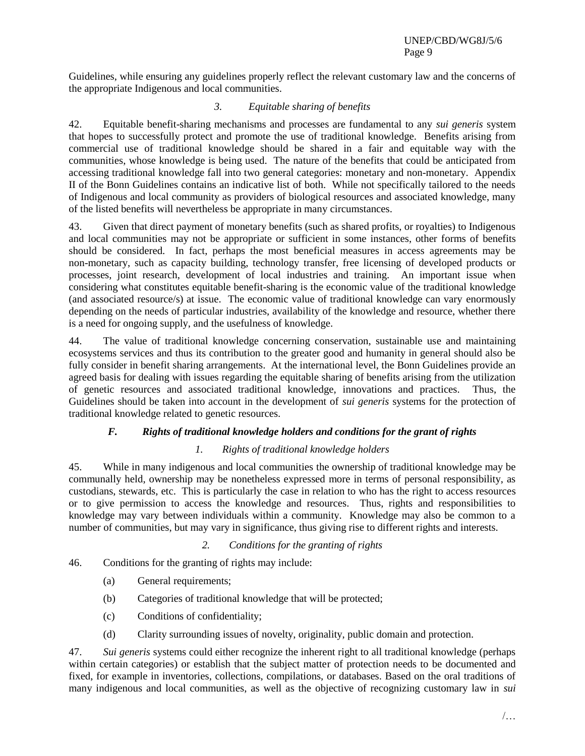Guidelines, while ensuring any guidelines properly reflect the relevant customary law and the concerns of the appropriate Indigenous and local communities.

# *3. Equitable sharing of benefits*

42. Equitable benefit-sharing mechanisms and processes are fundamental to any *sui generis* system that hopes to successfully protect and promote the use of traditional knowledge. Benefits arising from commercial use of traditional knowledge should be shared in a fair and equitable way with the communities, whose knowledge is being used. The nature of the benefits that could be anticipated from accessing traditional knowledge fall into two general categories: monetary and non-monetary. Appendix II of the Bonn Guidelines contains an indicative list of both. While not specifically tailored to the needs of Indigenous and local community as providers of biological resources and associated knowledge, many of the listed benefits will nevertheless be appropriate in many circumstances.

43. Given that direct payment of monetary benefits (such as shared profits, or royalties) to Indigenous and local communities may not be appropriate or sufficient in some instances, other forms of benefits should be considered. In fact, perhaps the most beneficial measures in access agreements may be non-monetary, such as capacity building, technology transfer, free licensing of developed products or processes, joint research, development of local industries and training. An important issue when considering what constitutes equitable benefit-sharing is the economic value of the traditional knowledge (and associated resource/s) at issue. The economic value of traditional knowledge can vary enormously depending on the needs of particular industries, availability of the knowledge and resource, whether there is a need for ongoing supply, and the usefulness of knowledge.

44. The value of traditional knowledge concerning conservation, sustainable use and maintaining ecosystems services and thus its contribution to the greater good and humanity in general should also be fully consider in benefit sharing arrangements. At the international level, the Bonn Guidelines provide an agreed basis for dealing with issues regarding the equitable sharing of benefits arising from the utilization of genetic resources and associated traditional knowledge, innovations and practices. Thus, the Guidelines should be taken into account in the development of *sui generis* systems for the protection of traditional knowledge related to genetic resources.

# *F. Rights of traditional knowledge holders and conditions for the grant of rights*

# *1. Rights of traditional knowledge holders*

45. While in many indigenous and local communities the ownership of traditional knowledge may be communally held, ownership may be nonetheless expressed more in terms of personal responsibility, as custodians, stewards, etc. This is particularly the case in relation to who has the right to access resources or to give permission to access the knowledge and resources. Thus, rights and responsibilities to knowledge may vary between individuals within a community. Knowledge may also be common to a number of communities, but may vary in significance, thus giving rise to different rights and interests.

# *2. Conditions for the granting of rights*

46. Conditions for the granting of rights may include:

- (a) General requirements;
- (b) Categories of traditional knowledge that will be protected;
- (c) Conditions of confidentiality;
- (d) Clarity surrounding issues of novelty, originality, public domain and protection.

47. *Sui generis* systems could either recognize the inherent right to all traditional knowledge (perhaps within certain categories) or establish that the subject matter of protection needs to be documented and fixed, for example in inventories, collections, compilations, or databases. Based on the oral traditions of many indigenous and local communities, as well as the objective of recognizing customary law in *sui*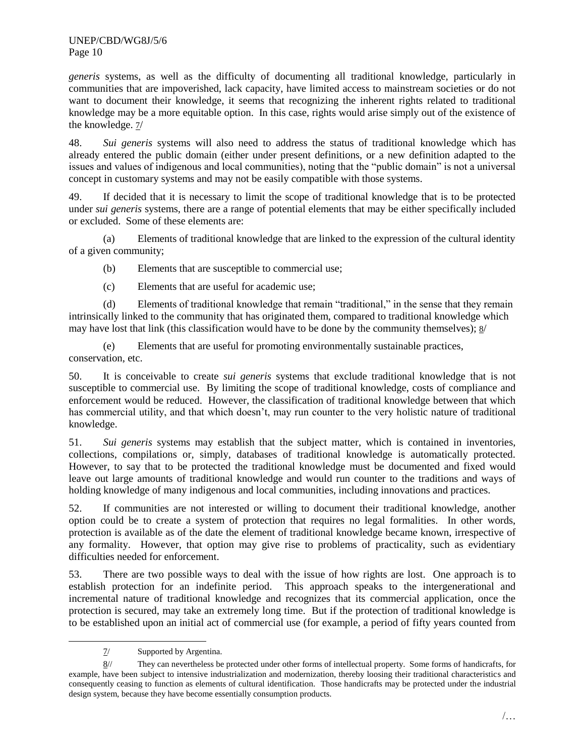*generis* systems, as well as the difficulty of documenting all traditional knowledge, particularly in communities that are impoverished, lack capacity, have limited access to mainstream societies or do not want to document their knowledge, it seems that recognizing the inherent rights related to traditional knowledge may be a more equitable option. In this case, rights would arise simply out of the existence of the knowledge.  $\frac{7}{4}$ 

48. *Sui generis* systems will also need to address the status of traditional knowledge which has already entered the public domain (either under present definitions, or a new definition adapted to the issues and values of indigenous and local communities), noting that the "public domain" is not a universal concept in customary systems and may not be easily compatible with those systems.

49. If decided that it is necessary to limit the scope of traditional knowledge that is to be protected under *sui generis* systems, there are a range of potential elements that may be either specifically included or excluded. Some of these elements are:

(a) Elements of traditional knowledge that are linked to the expression of the cultural identity of a given community;

(b) Elements that are susceptible to commercial use;

(c) Elements that are useful for academic use;

(d) Elements of traditional knowledge that remain "traditional," in the sense that they remain intrinsically linked to the community that has originated them, compared to traditional knowledge which may have lost that link (this classification would have to be done by the community themselves); 8/

(e) Elements that are useful for promoting environmentally sustainable practices, conservation, etc.

50. It is conceivable to create *sui generis* systems that exclude traditional knowledge that is not susceptible to commercial use. By limiting the scope of traditional knowledge, costs of compliance and enforcement would be reduced. However, the classification of traditional knowledge between that which has commercial utility, and that which doesn't, may run counter to the very holistic nature of traditional knowledge.

51. *Sui generis* systems may establish that the subject matter, which is contained in inventories, collections, compilations or, simply, databases of traditional knowledge is automatically protected. However, to say that to be protected the traditional knowledge must be documented and fixed would leave out large amounts of traditional knowledge and would run counter to the traditions and ways of holding knowledge of many indigenous and local communities, including innovations and practices.

52. If communities are not interested or willing to document their traditional knowledge, another option could be to create a system of protection that requires no legal formalities. In other words, protection is available as of the date the element of traditional knowledge became known, irrespective of any formality. However, that option may give rise to problems of practicality, such as evidentiary difficulties needed for enforcement.

53. There are two possible ways to deal with the issue of how rights are lost. One approach is to establish protection for an indefinite period. This approach speaks to the intergenerational and incremental nature of traditional knowledge and recognizes that its commercial application, once the protection is secured, may take an extremely long time. But if the protection of traditional knowledge is to be established upon an initial act of commercial use (for example, a period of fifty years counted from

l

<sup>7/</sup> Supported by Argentina.

<sup>8//</sup> They can nevertheless be protected under other forms of intellectual property. Some forms of handicrafts, for example, have been subject to intensive industrialization and modernization, thereby loosing their traditional characteristics and consequently ceasing to function as elements of cultural identification. Those handicrafts may be protected under the industrial design system, because they have become essentially consumption products.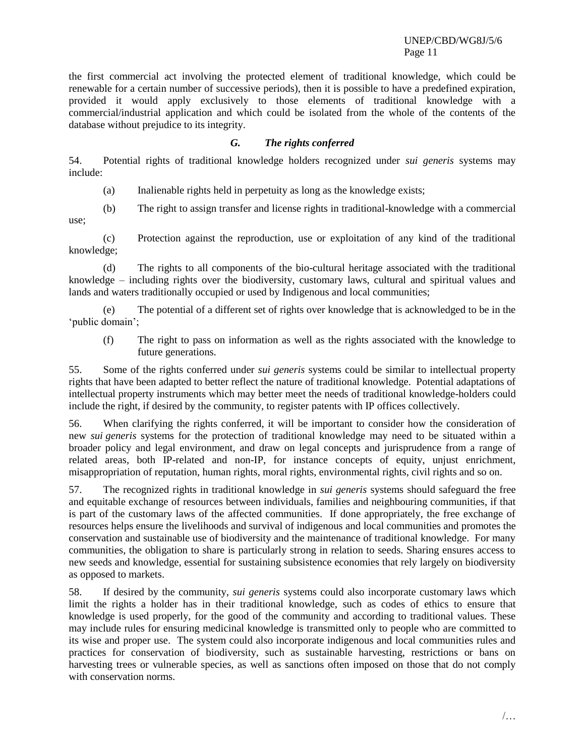the first commercial act involving the protected element of traditional knowledge, which could be renewable for a certain number of successive periods), then it is possible to have a predefined expiration, provided it would apply exclusively to those elements of traditional knowledge with a commercial/industrial application and which could be isolated from the whole of the contents of the database without prejudice to its integrity.

#### *G. The rights conferred*

54. Potential rights of traditional knowledge holders recognized under *sui generis* systems may include:

(a) Inalienable rights held in perpetuity as long as the knowledge exists;

(b) The right to assign transfer and license rights in traditional-knowledge with a commercial use;

(c) Protection against the reproduction, use or exploitation of any kind of the traditional knowledge;

(d) The rights to all components of the bio-cultural heritage associated with the traditional knowledge – including rights over the biodiversity, customary laws, cultural and spiritual values and lands and waters traditionally occupied or used by Indigenous and local communities;

(e) The potential of a different set of rights over knowledge that is acknowledged to be in the 'public domain';

(f) The right to pass on information as well as the rights associated with the knowledge to future generations.

55. Some of the rights conferred under *sui generis* systems could be similar to intellectual property rights that have been adapted to better reflect the nature of traditional knowledge. Potential adaptations of intellectual property instruments which may better meet the needs of traditional knowledge-holders could include the right, if desired by the community, to register patents with IP offices collectively.

56. When clarifying the rights conferred, it will be important to consider how the consideration of new *sui generis* systems for the protection of traditional knowledge may need to be situated within a broader policy and legal environment, and draw on legal concepts and jurisprudence from a range of related areas, both IP-related and non-IP, for instance concepts of equity, unjust enrichment, misappropriation of reputation, human rights, moral rights, environmental rights, civil rights and so on.

57. The recognized rights in traditional knowledge in *sui generis* systems should safeguard the free and equitable exchange of resources between individuals, families and neighbouring communities, if that is part of the customary laws of the affected communities. If done appropriately, the free exchange of resources helps ensure the livelihoods and survival of indigenous and local communities and promotes the conservation and sustainable use of biodiversity and the maintenance of traditional knowledge. For many communities, the obligation to share is particularly strong in relation to seeds. Sharing ensures access to new seeds and knowledge, essential for sustaining subsistence economies that rely largely on biodiversity as opposed to markets.

58. If desired by the community, *sui generis* systems could also incorporate customary laws which limit the rights a holder has in their traditional knowledge, such as codes of ethics to ensure that knowledge is used properly, for the good of the community and according to traditional values. These may include rules for ensuring medicinal knowledge is transmitted only to people who are committed to its wise and proper use. The system could also incorporate indigenous and local communities rules and practices for conservation of biodiversity, such as sustainable harvesting, restrictions or bans on harvesting trees or vulnerable species, as well as sanctions often imposed on those that do not comply with conservation norms.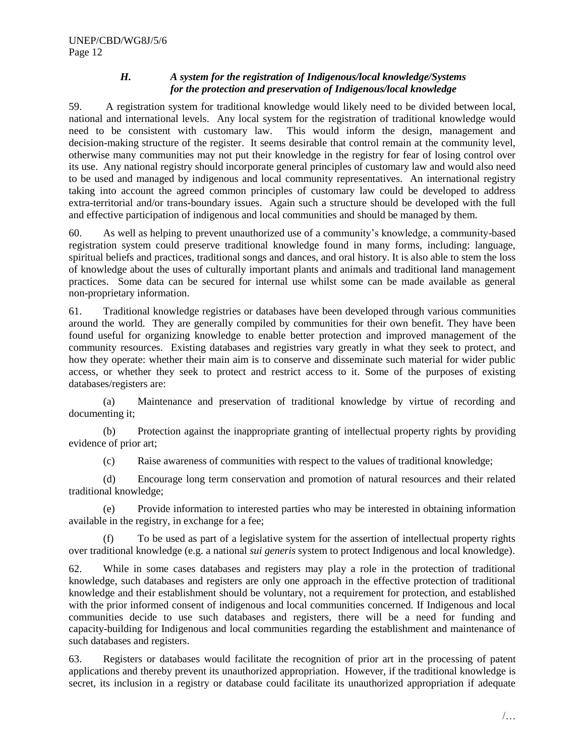#### *H. A system for the registration of Indigenous/local knowledge/Systems for the protection and preservation of Indigenous/local knowledge*

59. A registration system for traditional knowledge would likely need to be divided between local, national and international levels. Any local system for the registration of traditional knowledge would need to be consistent with customary law. This would inform the design, management and decision-making structure of the register. It seems desirable that control remain at the community level, otherwise many communities may not put their knowledge in the registry for fear of losing control over its use. Any national registry should incorporate general principles of customary law and would also need to be used and managed by indigenous and local community representatives. An international registry taking into account the agreed common principles of customary law could be developed to address extra-territorial and/or trans-boundary issues. Again such a structure should be developed with the full and effective participation of indigenous and local communities and should be managed by them.

60. As well as helping to prevent unauthorized use of a community"s knowledge, a community-based registration system could preserve traditional knowledge found in many forms, including: language, spiritual beliefs and practices, traditional songs and dances, and oral history. It is also able to stem the loss of knowledge about the uses of culturally important plants and animals and traditional land management practices. Some data can be secured for internal use whilst some can be made available as general non-proprietary information.

61. Traditional knowledge registries or databases have been developed through various communities around the world. They are generally compiled by communities for their own benefit. They have been found useful for organizing knowledge to enable better protection and improved management of the community resources. Existing databases and registries vary greatly in what they seek to protect, and how they operate: whether their main aim is to conserve and disseminate such material for wider public access, or whether they seek to protect and restrict access to it. Some of the purposes of existing databases/registers are:

(a) Maintenance and preservation of traditional knowledge by virtue of recording and documenting it;

(b) Protection against the inappropriate granting of intellectual property rights by providing evidence of prior art;

(c) Raise awareness of communities with respect to the values of traditional knowledge;

(d) Encourage long term conservation and promotion of natural resources and their related traditional knowledge;

(e) Provide information to interested parties who may be interested in obtaining information available in the registry, in exchange for a fee;

To be used as part of a legislative system for the assertion of intellectual property rights over traditional knowledge (e.g. a national *sui generis* system to protect Indigenous and local knowledge).

62. While in some cases databases and registers may play a role in the protection of traditional knowledge, such databases and registers are only one approach in the effective protection of traditional knowledge and their establishment should be voluntary, not a requirement for protection, and established with the prior informed consent of indigenous and local communities concerned. If Indigenous and local communities decide to use such databases and registers, there will be a need for funding and capacity-building for Indigenous and local communities regarding the establishment and maintenance of such databases and registers.

63. Registers or databases would facilitate the recognition of prior art in the processing of patent applications and thereby prevent its unauthorized appropriation. However, if the traditional knowledge is secret, its inclusion in a registry or database could facilitate its unauthorized appropriation if adequate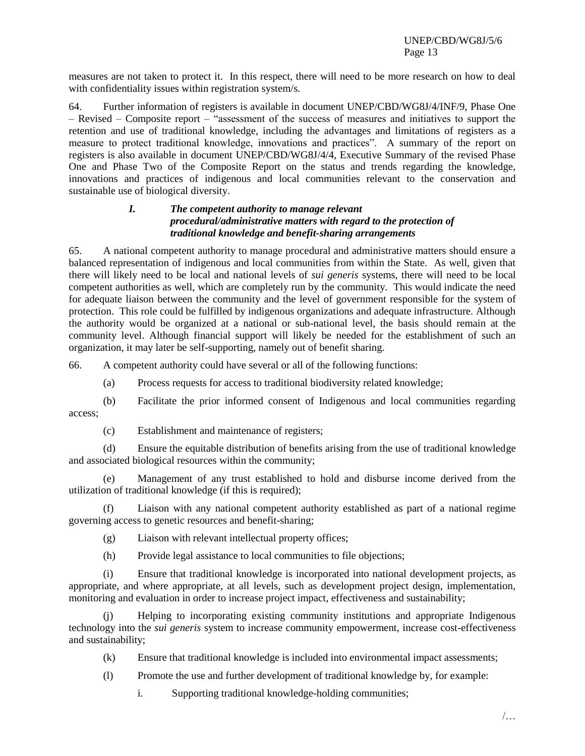measures are not taken to protect it. In this respect, there will need to be more research on how to deal with confidentiality issues within registration system/s.

64. Further information of registers is available in document UNEP/CBD/WG8J/4/INF/9, Phase One – Revised – Composite report – "assessment of the success of measures and initiatives to support the retention and use of traditional knowledge, including the advantages and limitations of registers as a measure to protect traditional knowledge, innovations and practices". A summary of the report on registers is also available in document UNEP/CBD/WG8J/4/4, Executive Summary of the revised Phase One and Phase Two of the Composite Report on the status and trends regarding the knowledge, innovations and practices of indigenous and local communities relevant to the conservation and sustainable use of biological diversity.

#### *I. The competent authority to manage relevant procedural/administrative matters with regard to the protection of traditional knowledge and benefit-sharing arrangements*

65. A national competent authority to manage procedural and administrative matters should ensure a balanced representation of indigenous and local communities from within the State. As well, given that there will likely need to be local and national levels of *sui generis* systems, there will need to be local competent authorities as well, which are completely run by the community. This would indicate the need for adequate liaison between the community and the level of government responsible for the system of protection. This role could be fulfilled by indigenous organizations and adequate infrastructure. Although the authority would be organized at a national or sub-national level, the basis should remain at the community level. Although financial support will likely be needed for the establishment of such an organization, it may later be self-supporting, namely out of benefit sharing.

66. A competent authority could have several or all of the following functions:

- (a) Process requests for access to traditional biodiversity related knowledge;
- (b) Facilitate the prior informed consent of Indigenous and local communities regarding access;
	- (c) Establishment and maintenance of registers;

(d) Ensure the equitable distribution of benefits arising from the use of traditional knowledge and associated biological resources within the community;

Management of any trust established to hold and disburse income derived from the utilization of traditional knowledge (if this is required);

(f) Liaison with any national competent authority established as part of a national regime governing access to genetic resources and benefit-sharing;

(g) Liaison with relevant intellectual property offices;

(h) Provide legal assistance to local communities to file objections;

(i) Ensure that traditional knowledge is incorporated into national development projects, as appropriate, and where appropriate, at all levels, such as development project design, implementation, monitoring and evaluation in order to increase project impact, effectiveness and sustainability;

(j) Helping to incorporating existing community institutions and appropriate Indigenous technology into the *sui generis* system to increase community empowerment, increase cost-effectiveness and sustainability;

(k) Ensure that traditional knowledge is included into environmental impact assessments;

(l) Promote the use and further development of traditional knowledge by, for example:

i. Supporting traditional knowledge-holding communities;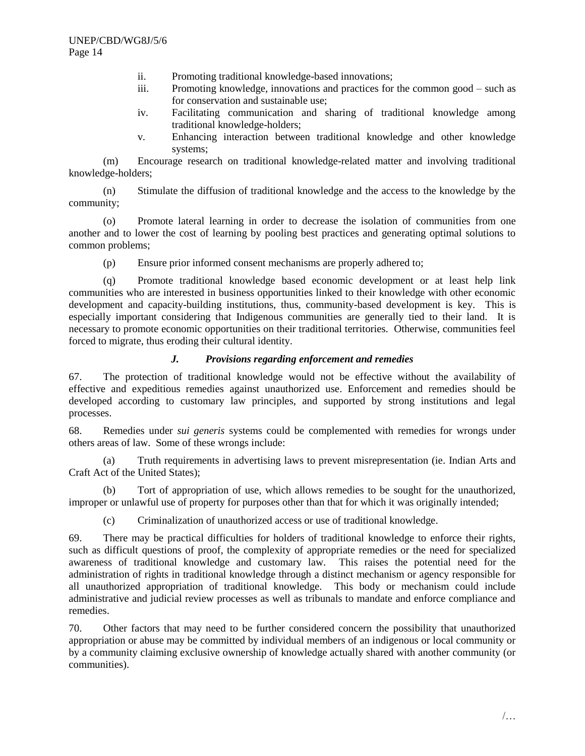- ii. Promoting traditional knowledge-based innovations;
- iii. Promoting knowledge, innovations and practices for the common good such as for conservation and sustainable use;
- iv. Facilitating communication and sharing of traditional knowledge among traditional knowledge-holders;
- v. Enhancing interaction between traditional knowledge and other knowledge systems;

(m) Encourage research on traditional knowledge-related matter and involving traditional knowledge-holders;

(n) Stimulate the diffusion of traditional knowledge and the access to the knowledge by the community;

(o) Promote lateral learning in order to decrease the isolation of communities from one another and to lower the cost of learning by pooling best practices and generating optimal solutions to common problems;

(p) Ensure prior informed consent mechanisms are properly adhered to;

(q) Promote traditional knowledge based economic development or at least help link communities who are interested in business opportunities linked to their knowledge with other economic development and capacity-building institutions, thus, community-based development is key. This is especially important considering that Indigenous communities are generally tied to their land. It is necessary to promote economic opportunities on their traditional territories. Otherwise, communities feel forced to migrate, thus eroding their cultural identity.

### *J. Provisions regarding enforcement and remedies*

67. The protection of traditional knowledge would not be effective without the availability of effective and expeditious remedies against unauthorized use. Enforcement and remedies should be developed according to customary law principles, and supported by strong institutions and legal processes.

68. Remedies under *sui generis* systems could be complemented with remedies for wrongs under others areas of law. Some of these wrongs include:

(a) Truth requirements in advertising laws to prevent misrepresentation (ie. Indian Arts and Craft Act of the United States);

(b) Tort of appropriation of use, which allows remedies to be sought for the unauthorized, improper or unlawful use of property for purposes other than that for which it was originally intended;

(c) Criminalization of unauthorized access or use of traditional knowledge.

69. There may be practical difficulties for holders of traditional knowledge to enforce their rights, such as difficult questions of proof, the complexity of appropriate remedies or the need for specialized awareness of traditional knowledge and customary law. This raises the potential need for the administration of rights in traditional knowledge through a distinct mechanism or agency responsible for all unauthorized appropriation of traditional knowledge. This body or mechanism could include administrative and judicial review processes as well as tribunals to mandate and enforce compliance and remedies.

70. Other factors that may need to be further considered concern the possibility that unauthorized appropriation or abuse may be committed by individual members of an indigenous or local community or by a community claiming exclusive ownership of knowledge actually shared with another community (or communities).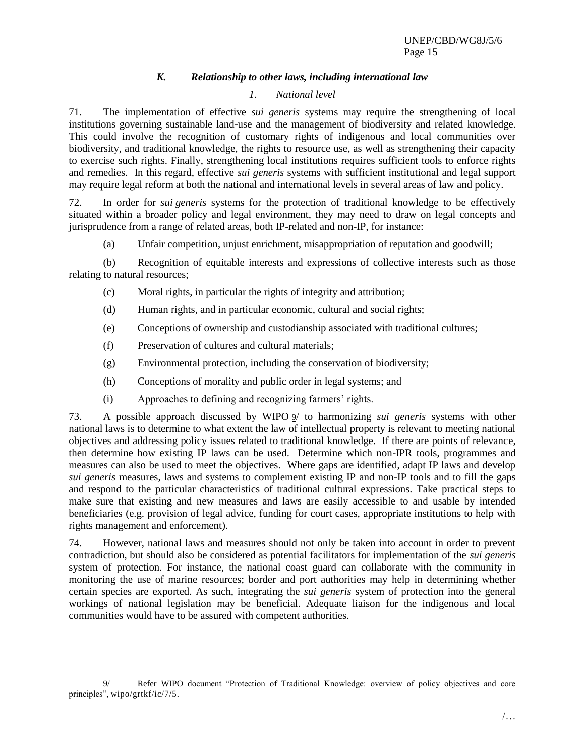# *K. Relationship to other laws, including international law*

# *1. National level*

71. The implementation of effective *sui generis* systems may require the strengthening of local institutions governing sustainable land-use and the management of biodiversity and related knowledge. This could involve the recognition of customary rights of indigenous and local communities over biodiversity, and traditional knowledge, the rights to resource use, as well as strengthening their capacity to exercise such rights. Finally, strengthening local institutions requires sufficient tools to enforce rights and remedies. In this regard, effective *sui generis* systems with sufficient institutional and legal support may require legal reform at both the national and international levels in several areas of law and policy.

72. In order for *sui generis* systems for the protection of traditional knowledge to be effectively situated within a broader policy and legal environment, they may need to draw on legal concepts and jurisprudence from a range of related areas, both IP-related and non-IP, for instance:

(a) Unfair competition, unjust enrichment, misappropriation of reputation and goodwill;

(b) Recognition of equitable interests and expressions of collective interests such as those relating to natural resources;

- (c) Moral rights, in particular the rights of integrity and attribution;
- (d) Human rights, and in particular economic, cultural and social rights;
- (e) Conceptions of ownership and custodianship associated with traditional cultures;
- (f) Preservation of cultures and cultural materials;
- (g) Environmental protection, including the conservation of biodiversity;
- (h) Conceptions of morality and public order in legal systems; and
- (i) Approaches to defining and recognizing farmers' rights.

73. A possible approach discussed by WIPO 9/ to harmonizing *sui generis* systems with other national laws is to determine to what extent the law of intellectual property is relevant to meeting national objectives and addressing policy issues related to traditional knowledge. If there are points of relevance, then determine how existing IP laws can be used. Determine which non-IPR tools, programmes and measures can also be used to meet the objectives. Where gaps are identified, adapt IP laws and develop *sui generis* measures, laws and systems to complement existing IP and non-IP tools and to fill the gaps and respond to the particular characteristics of traditional cultural expressions. Take practical steps to make sure that existing and new measures and laws are easily accessible to and usable by intended beneficiaries (e.g. provision of legal advice, funding for court cases, appropriate institutions to help with rights management and enforcement).

74. However, national laws and measures should not only be taken into account in order to prevent contradiction, but should also be considered as potential facilitators for implementation of the *sui generis* system of protection. For instance, the national coast guard can collaborate with the community in monitoring the use of marine resources; border and port authorities may help in determining whether certain species are exported. As such, integrating the *sui generis* system of protection into the general workings of national legislation may be beneficial. Adequate liaison for the indigenous and local communities would have to be assured with competent authorities.

l Refer WIPO document "Protection of Traditional Knowledge: overview of policy objectives and core principles", wipo/grtkf/ic/7/5.